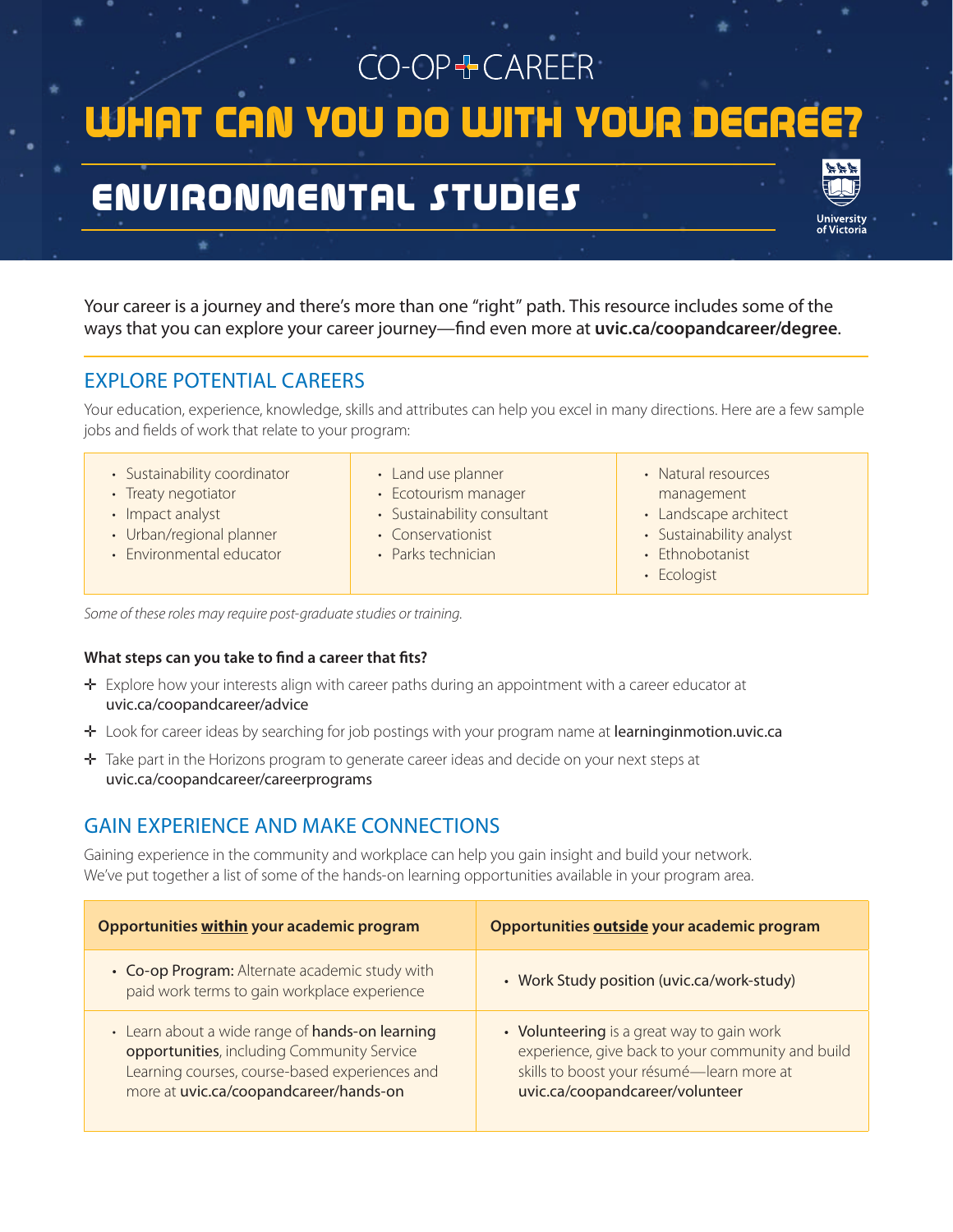# CO-OP+CAREER WHAT CAN YOU DO WITH YOUR DEGRE

# ENVIRONMENTAL STUDIES

Your career is a journey and there's more than one "right" path. This resource includes some of the ways that you can explore your career journey—find even more at **uvic.ca/coopandcareer/degree**.

# EXPLORE POTENTIAL CAREERS

Your education, experience, knowledge, skills and attributes can help you excel in many directions. Here are a few sample jobs and fields of work that relate to your program:

- Sustainability coordinator
- Treaty negotiator
- Impact analyst
- Urban/regional planner
- Environmental educator
- Land use planner
- Ecotourism manager
- Sustainability consultant
- Conservationist
- Parks technician
- 
- Natural resources management • Landscape architect
- Sustainability analyst
- Ethnobotanist
- Ecologist

*Some of these roles may require post-graduate studies or training.*

#### **What steps can you take to find a career that fits?**

- ✛ Explore how your interests align with career paths during an appointment with a career educator at uvic.ca/coopandcareer/advice
- ✛ Look for career ideas by searching for job postings with your program name at learninginmotion.uvic.ca
- ✛ Take part in the Horizons program to generate career ideas and decide on your next steps at uvic.ca/coopandcareer/careerprograms

## GAIN EXPERIENCE AND MAKE CONNECTIONS

Gaining experience in the community and workplace can help you gain insight and build your network. We've put together a list of some of the hands-on learning opportunities available in your program area.

| Opportunities within your academic program                                                                                                                                                | Opportunities outside your academic program                                                                                                                                     |
|-------------------------------------------------------------------------------------------------------------------------------------------------------------------------------------------|---------------------------------------------------------------------------------------------------------------------------------------------------------------------------------|
| • Co-op Program: Alternate academic study with<br>paid work terms to gain workplace experience                                                                                            | • Work Study position (uvic.ca/work-study)                                                                                                                                      |
| • Learn about a wide range of hands-on learning<br>opportunities, including Community Service<br>Learning courses, course-based experiences and<br>more at uvic.ca/coopandcareer/hands-on | • Volunteering is a great way to gain work<br>experience, give back to your community and build<br>skills to boost your résumé-learn more at<br>uvic.ca/coopandcareer/volunteer |